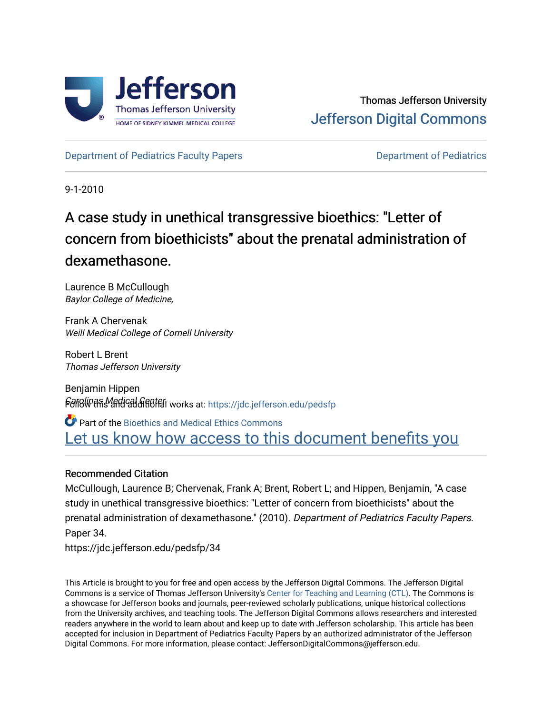

[Department of Pediatrics Faculty Papers](https://jdc.jefferson.edu/pedsfp) **Department of Pediatrics** 

9-1-2010

# A case study in unethical transgressive bioethics: "Letter of concern from bioethicists" about the prenatal administration of dexamethasone.

Laurence B McCullough Baylor College of Medicine,

Frank A Chervenak Weill Medical College of Cornell University

Robert L Brent Thomas Jefferson University

Benjamin Hippen *<del>Carolinas Medical Gfi8hal</del>l works at: https://jdc.jefferson.edu/pedsfp* 

Part of the [Bioethics and Medical Ethics Commons](http://network.bepress.com/hgg/discipline/650?utm_source=jdc.jefferson.edu%2Fpedsfp%2F34&utm_medium=PDF&utm_campaign=PDFCoverPages)  Let us know how access to this document benefits you

# Recommended Citation

McCullough, Laurence B; Chervenak, Frank A; Brent, Robert L; and Hippen, Benjamin, "A case study in unethical transgressive bioethics: "Letter of concern from bioethicists" about the prenatal administration of dexamethasone." (2010). Department of Pediatrics Faculty Papers. Paper 34.

https://jdc.jefferson.edu/pedsfp/34

This Article is brought to you for free and open access by the Jefferson Digital Commons. The Jefferson Digital Commons is a service of Thomas Jefferson University's [Center for Teaching and Learning \(CTL\)](http://www.jefferson.edu/university/teaching-learning.html/). The Commons is a showcase for Jefferson books and journals, peer-reviewed scholarly publications, unique historical collections from the University archives, and teaching tools. The Jefferson Digital Commons allows researchers and interested readers anywhere in the world to learn about and keep up to date with Jefferson scholarship. This article has been accepted for inclusion in Department of Pediatrics Faculty Papers by an authorized administrator of the Jefferson Digital Commons. For more information, please contact: JeffersonDigitalCommons@jefferson.edu.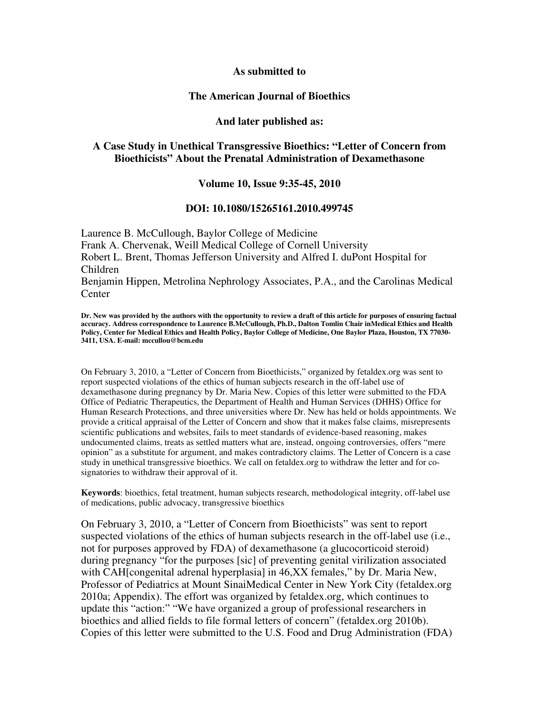#### **As submitted to**

## **The American Journal of Bioethics**

#### **And later published as:**

## **A Case Study in Unethical Transgressive Bioethics: "Letter of Concern from Bioethicists" About the Prenatal Administration of Dexamethasone**

## **Volume 10, Issue 9:35-45, 2010**

## **DOI: 10.1080/15265161.2010.499745**

Laurence B. McCullough, Baylor College of Medicine Frank A. Chervenak, Weill Medical College of Cornell University Robert L. Brent, Thomas Jefferson University and Alfred I. duPont Hospital for Children Benjamin Hippen, Metrolina Nephrology Associates, P.A., and the Carolinas Medical **Center** 

**Dr. New was provided by the authors with the opportunity to review a draft of this article for purposes of ensuring factual accuracy. Address correspondence to Laurence B.McCullough, Ph.D., Dalton Tomlin Chair inMedical Ethics and Health Policy, Center for Medical Ethics and Health Policy, Baylor College of Medicine, One Baylor Plaza, Houston, TX 77030- 3411, USA. E-mail: mccullou@bcm.edu** 

On February 3, 2010, a "Letter of Concern from Bioethicists," organized by fetaldex.org was sent to report suspected violations of the ethics of human subjects research in the off-label use of dexamethasone during pregnancy by Dr. Maria New. Copies of this letter were submitted to the FDA Office of Pediatric Therapeutics, the Department of Health and Human Services (DHHS) Office for Human Research Protections, and three universities where Dr. New has held or holds appointments. We provide a critical appraisal of the Letter of Concern and show that it makes false claims, misrepresents scientific publications and websites, fails to meet standards of evidence-based reasoning, makes undocumented claims, treats as settled matters what are, instead, ongoing controversies, offers "mere opinion" as a substitute for argument, and makes contradictory claims. The Letter of Concern is a case study in unethical transgressive bioethics. We call on fetaldex.org to withdraw the letter and for cosignatories to withdraw their approval of it.

**Keywords**: bioethics, fetal treatment, human subjects research, methodological integrity, off-label use of medications, public advocacy, transgressive bioethics

On February 3, 2010, a "Letter of Concern from Bioethicists" was sent to report suspected violations of the ethics of human subjects research in the off-label use (i.e., not for purposes approved by FDA) of dexamethasone (a glucocorticoid steroid) during pregnancy "for the purposes [sic] of preventing genital virilization associated with CAH[congenital adrenal hyperplasia] in 46,XX females," by Dr. Maria New, Professor of Pediatrics at Mount SinaiMedical Center in New York City (fetaldex.org 2010a; Appendix). The effort was organized by fetaldex.org, which continues to update this "action:" "We have organized a group of professional researchers in bioethics and allied fields to file formal letters of concern" (fetaldex.org 2010b). Copies of this letter were submitted to the U.S. Food and Drug Administration (FDA)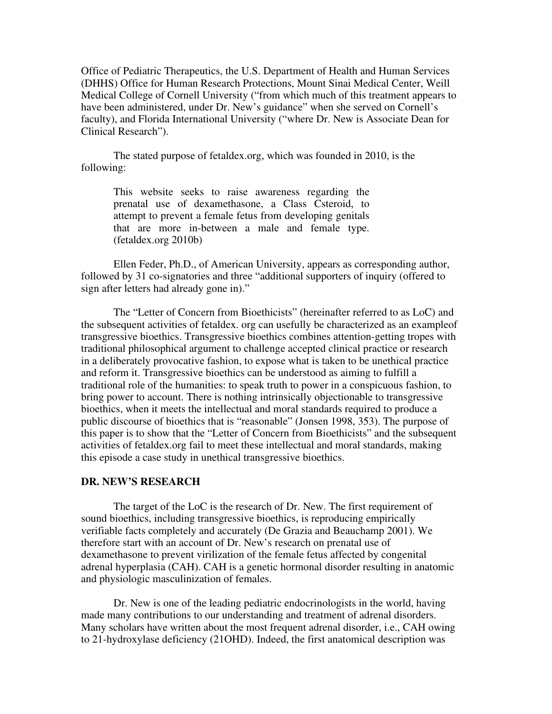Office of Pediatric Therapeutics, the U.S. Department of Health and Human Services (DHHS) Office for Human Research Protections, Mount Sinai Medical Center, Weill Medical College of Cornell University ("from which much of this treatment appears to have been administered, under Dr. New's guidance" when she served on Cornell's faculty), and Florida International University ("where Dr. New is Associate Dean for Clinical Research").

The stated purpose of fetaldex.org, which was founded in 2010, is the following:

This website seeks to raise awareness regarding the prenatal use of dexamethasone, a Class Csteroid, to attempt to prevent a female fetus from developing genitals that are more in-between a male and female type. (fetaldex.org 2010b)

Ellen Feder, Ph.D., of American University, appears as corresponding author, followed by 31 co-signatories and three "additional supporters of inquiry (offered to sign after letters had already gone in)."

The "Letter of Concern from Bioethicists" (hereinafter referred to as LoC) and the subsequent activities of fetaldex. org can usefully be characterized as an exampleof transgressive bioethics. Transgressive bioethics combines attention-getting tropes with traditional philosophical argument to challenge accepted clinical practice or research in a deliberately provocative fashion, to expose what is taken to be unethical practice and reform it. Transgressive bioethics can be understood as aiming to fulfill a traditional role of the humanities: to speak truth to power in a conspicuous fashion, to bring power to account. There is nothing intrinsically objectionable to transgressive bioethics, when it meets the intellectual and moral standards required to produce a public discourse of bioethics that is "reasonable" (Jonsen 1998, 353). The purpose of this paper is to show that the "Letter of Concern from Bioethicists" and the subsequent activities of fetaldex.org fail to meet these intellectual and moral standards, making this episode a case study in unethical transgressive bioethics.

## **DR. NEW'S RESEARCH**

The target of the LoC is the research of Dr. New. The first requirement of sound bioethics, including transgressive bioethics, is reproducing empirically verifiable facts completely and accurately (De Grazia and Beauchamp 2001). We therefore start with an account of Dr. New's research on prenatal use of dexamethasone to prevent virilization of the female fetus affected by congenital adrenal hyperplasia (CAH). CAH is a genetic hormonal disorder resulting in anatomic and physiologic masculinization of females.

Dr. New is one of the leading pediatric endocrinologists in the world, having made many contributions to our understanding and treatment of adrenal disorders. Many scholars have written about the most frequent adrenal disorder, i.e., CAH owing to 21-hydroxylase deficiency (21OHD). Indeed, the first anatomical description was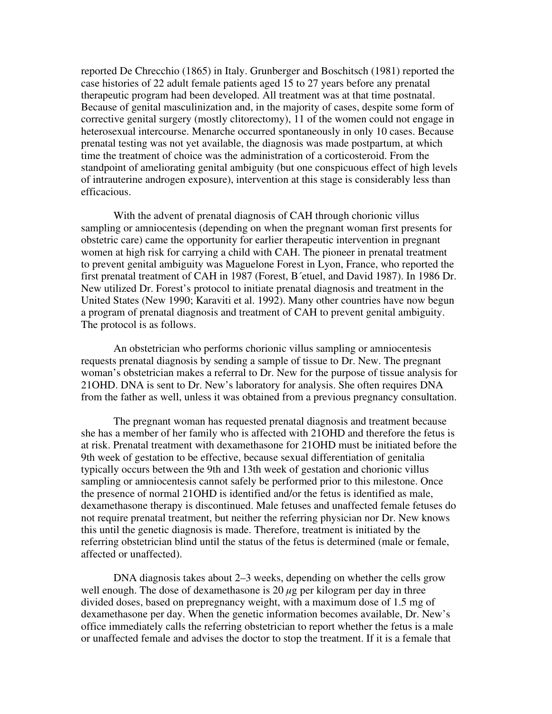reported De Chrecchio (1865) in Italy. Grunberger and Boschitsch (1981) reported the case histories of 22 adult female patients aged 15 to 27 years before any prenatal therapeutic program had been developed. All treatment was at that time postnatal. Because of genital masculinization and, in the majority of cases, despite some form of corrective genital surgery (mostly clitorectomy), 11 of the women could not engage in heterosexual intercourse. Menarche occurred spontaneously in only 10 cases. Because prenatal testing was not yet available, the diagnosis was made postpartum, at which time the treatment of choice was the administration of a corticosteroid. From the standpoint of ameliorating genital ambiguity (but one conspicuous effect of high levels of intrauterine androgen exposure), intervention at this stage is considerably less than efficacious.

With the advent of prenatal diagnosis of CAH through chorionic villus sampling or amniocentesis (depending on when the pregnant woman first presents for obstetric care) came the opportunity for earlier therapeutic intervention in pregnant women at high risk for carrying a child with CAH. The pioneer in prenatal treatment to prevent genital ambiguity was Maguelone Forest in Lyon, France, who reported the first prenatal treatment of CAH in 1987 (Forest, B´etuel, and David 1987). In 1986 Dr. New utilized Dr. Forest's protocol to initiate prenatal diagnosis and treatment in the United States (New 1990; Karaviti et al. 1992). Many other countries have now begun a program of prenatal diagnosis and treatment of CAH to prevent genital ambiguity. The protocol is as follows.

An obstetrician who performs chorionic villus sampling or amniocentesis requests prenatal diagnosis by sending a sample of tissue to Dr. New. The pregnant woman's obstetrician makes a referral to Dr. New for the purpose of tissue analysis for 21OHD. DNA is sent to Dr. New's laboratory for analysis. She often requires DNA from the father as well, unless it was obtained from a previous pregnancy consultation.

The pregnant woman has requested prenatal diagnosis and treatment because she has a member of her family who is affected with 21OHD and therefore the fetus is at risk. Prenatal treatment with dexamethasone for 21OHD must be initiated before the 9th week of gestation to be effective, because sexual differentiation of genitalia typically occurs between the 9th and 13th week of gestation and chorionic villus sampling or amniocentesis cannot safely be performed prior to this milestone. Once the presence of normal 21OHD is identified and/or the fetus is identified as male, dexamethasone therapy is discontinued. Male fetuses and unaffected female fetuses do not require prenatal treatment, but neither the referring physician nor Dr. New knows this until the genetic diagnosis is made. Therefore, treatment is initiated by the referring obstetrician blind until the status of the fetus is determined (male or female, affected or unaffected).

DNA diagnosis takes about 2–3 weeks, depending on whether the cells grow well enough. The dose of dexamethasone is  $20 \mu$ g per kilogram per day in three divided doses, based on prepregnancy weight, with a maximum dose of 1.5 mg of dexamethasone per day. When the genetic information becomes available, Dr. New's office immediately calls the referring obstetrician to report whether the fetus is a male or unaffected female and advises the doctor to stop the treatment. If it is a female that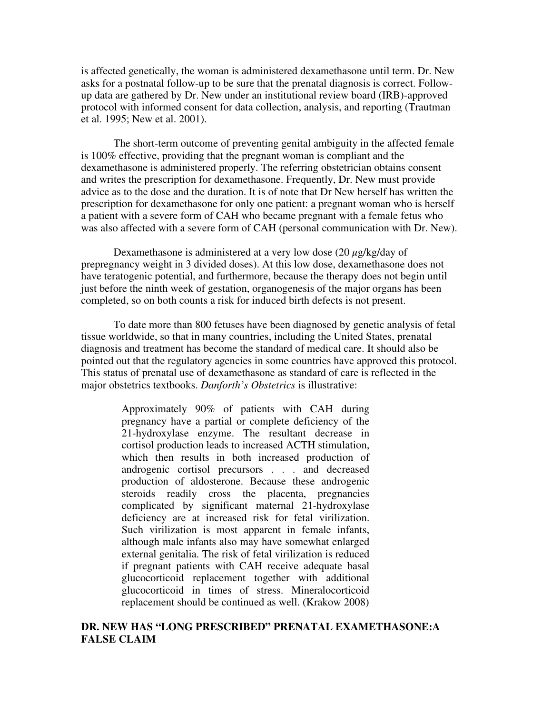is affected genetically, the woman is administered dexamethasone until term. Dr. New asks for a postnatal follow-up to be sure that the prenatal diagnosis is correct. Followup data are gathered by Dr. New under an institutional review board (IRB)-approved protocol with informed consent for data collection, analysis, and reporting (Trautman et al. 1995; New et al. 2001).

The short-term outcome of preventing genital ambiguity in the affected female is 100% effective, providing that the pregnant woman is compliant and the dexamethasone is administered properly. The referring obstetrician obtains consent and writes the prescription for dexamethasone. Frequently, Dr. New must provide advice as to the dose and the duration. It is of note that Dr New herself has written the prescription for dexamethasone for only one patient: a pregnant woman who is herself a patient with a severe form of CAH who became pregnant with a female fetus who was also affected with a severe form of CAH (personal communication with Dr. New).

Dexamethasone is administered at a very low dose (20 *µ*g/kg/day of prepregnancy weight in 3 divided doses). At this low dose, dexamethasone does not have teratogenic potential, and furthermore, because the therapy does not begin until just before the ninth week of gestation, organogenesis of the major organs has been completed, so on both counts a risk for induced birth defects is not present.

To date more than 800 fetuses have been diagnosed by genetic analysis of fetal tissue worldwide, so that in many countries, including the United States, prenatal diagnosis and treatment has become the standard of medical care. It should also be pointed out that the regulatory agencies in some countries have approved this protocol. This status of prenatal use of dexamethasone as standard of care is reflected in the major obstetrics textbooks. *Danforth's Obstetrics* is illustrative:

> Approximately 90% of patients with CAH during pregnancy have a partial or complete deficiency of the 21-hydroxylase enzyme. The resultant decrease in cortisol production leads to increased ACTH stimulation, which then results in both increased production of androgenic cortisol precursors . . . and decreased production of aldosterone. Because these androgenic steroids readily cross the placenta, pregnancies complicated by significant maternal 21-hydroxylase deficiency are at increased risk for fetal virilization. Such virilization is most apparent in female infants, although male infants also may have somewhat enlarged external genitalia. The risk of fetal virilization is reduced if pregnant patients with CAH receive adequate basal glucocorticoid replacement together with additional glucocorticoid in times of stress. Mineralocorticoid replacement should be continued as well. (Krakow 2008)

# **DR. NEW HAS "LONG PRESCRIBED" PRENATAL EXAMETHASONE:A FALSE CLAIM**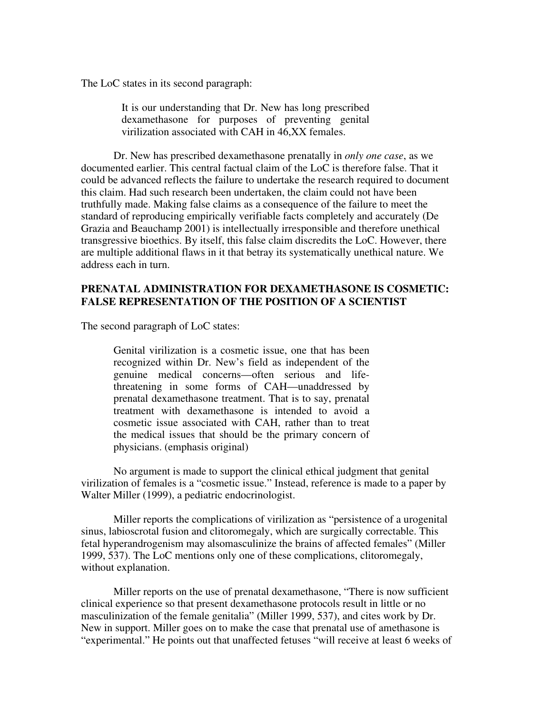The LoC states in its second paragraph:

It is our understanding that Dr. New has long prescribed dexamethasone for purposes of preventing genital virilization associated with CAH in 46,XX females.

Dr. New has prescribed dexamethasone prenatally in *only one case*, as we documented earlier. This central factual claim of the LoC is therefore false. That it could be advanced reflects the failure to undertake the research required to document this claim. Had such research been undertaken, the claim could not have been truthfully made. Making false claims as a consequence of the failure to meet the standard of reproducing empirically verifiable facts completely and accurately (De Grazia and Beauchamp 2001) is intellectually irresponsible and therefore unethical transgressive bioethics. By itself, this false claim discredits the LoC. However, there are multiple additional flaws in it that betray its systematically unethical nature. We address each in turn.

# **PRENATAL ADMINISTRATION FOR DEXAMETHASONE IS COSMETIC: FALSE REPRESENTATION OF THE POSITION OF A SCIENTIST**

The second paragraph of LoC states:

Genital virilization is a cosmetic issue, one that has been recognized within Dr. New's field as independent of the genuine medical concerns—often serious and lifethreatening in some forms of CAH—unaddressed by prenatal dexamethasone treatment. That is to say, prenatal treatment with dexamethasone is intended to avoid a cosmetic issue associated with CAH, rather than to treat the medical issues that should be the primary concern of physicians. (emphasis original)

No argument is made to support the clinical ethical judgment that genital virilization of females is a "cosmetic issue." Instead, reference is made to a paper by Walter Miller (1999), a pediatric endocrinologist.

Miller reports the complications of virilization as "persistence of a urogenital sinus, labioscrotal fusion and clitoromegaly, which are surgically correctable. This fetal hyperandrogenism may alsomasculinize the brains of affected females" (Miller 1999, 537). The LoC mentions only one of these complications, clitoromegaly, without explanation.

Miller reports on the use of prenatal dexamethasone, "There is now sufficient clinical experience so that present dexamethasone protocols result in little or no masculinization of the female genitalia" (Miller 1999, 537), and cites work by Dr. New in support. Miller goes on to make the case that prenatal use of amethasone is "experimental." He points out that unaffected fetuses "will receive at least 6 weeks of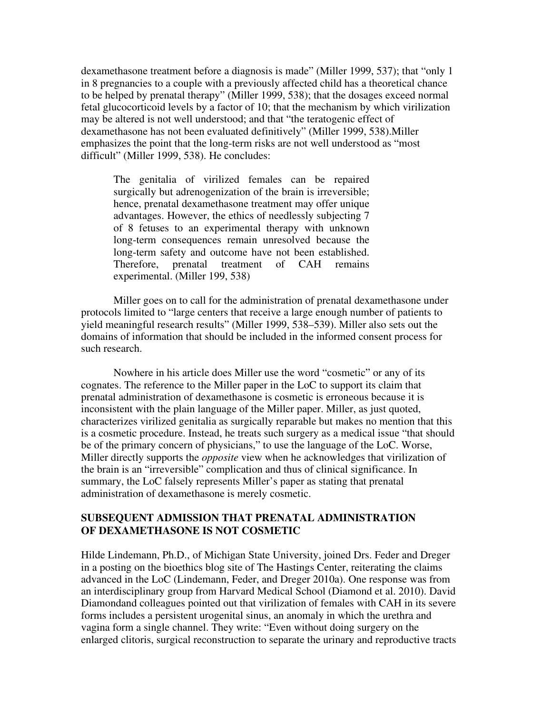dexamethasone treatment before a diagnosis is made" (Miller 1999, 537); that "only 1 in 8 pregnancies to a couple with a previously affected child has a theoretical chance to be helped by prenatal therapy" (Miller 1999, 538); that the dosages exceed normal fetal glucocorticoid levels by a factor of 10; that the mechanism by which virilization may be altered is not well understood; and that "the teratogenic effect of dexamethasone has not been evaluated definitively" (Miller 1999, 538).Miller emphasizes the point that the long-term risks are not well understood as "most difficult" (Miller 1999, 538). He concludes:

The genitalia of virilized females can be repaired surgically but adrenogenization of the brain is irreversible; hence, prenatal dexamethasone treatment may offer unique advantages. However, the ethics of needlessly subjecting 7 of 8 fetuses to an experimental therapy with unknown long-term consequences remain unresolved because the long-term safety and outcome have not been established. Therefore, prenatal treatment of CAH remains experimental. (Miller 199, 538)

Miller goes on to call for the administration of prenatal dexamethasone under protocols limited to "large centers that receive a large enough number of patients to yield meaningful research results" (Miller 1999, 538–539). Miller also sets out the domains of information that should be included in the informed consent process for such research.

Nowhere in his article does Miller use the word "cosmetic" or any of its cognates. The reference to the Miller paper in the LoC to support its claim that prenatal administration of dexamethasone is cosmetic is erroneous because it is inconsistent with the plain language of the Miller paper. Miller, as just quoted, characterizes virilized genitalia as surgically reparable but makes no mention that this is a cosmetic procedure. Instead, he treats such surgery as a medical issue "that should be of the primary concern of physicians," to use the language of the LoC. Worse, Miller directly supports the *opposite* view when he acknowledges that virilization of the brain is an "irreversible" complication and thus of clinical significance. In summary, the LoC falsely represents Miller's paper as stating that prenatal administration of dexamethasone is merely cosmetic.

# **SUBSEQUENT ADMISSION THAT PRENATAL ADMINISTRATION OF DEXAMETHASONE IS NOT COSMETIC**

Hilde Lindemann, Ph.D., of Michigan State University, joined Drs. Feder and Dreger in a posting on the bioethics blog site of The Hastings Center, reiterating the claims advanced in the LoC (Lindemann, Feder, and Dreger 2010a). One response was from an interdisciplinary group from Harvard Medical School (Diamond et al. 2010). David Diamondand colleagues pointed out that virilization of females with CAH in its severe forms includes a persistent urogenital sinus, an anomaly in which the urethra and vagina form a single channel. They write: "Even without doing surgery on the enlarged clitoris, surgical reconstruction to separate the urinary and reproductive tracts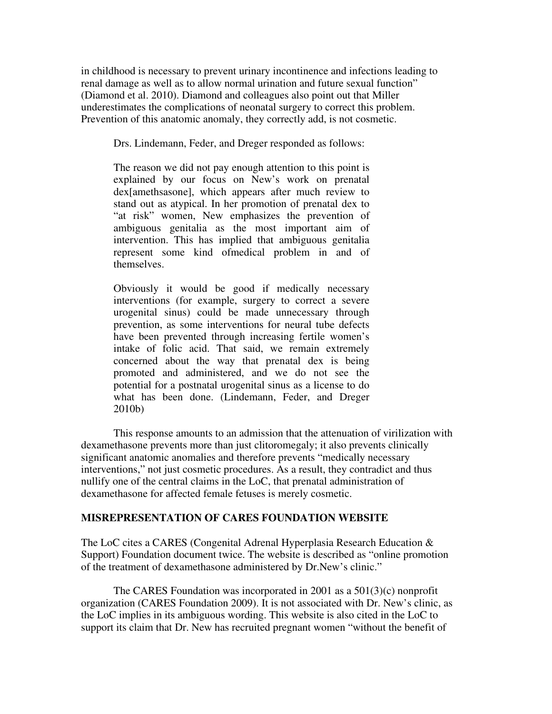in childhood is necessary to prevent urinary incontinence and infections leading to renal damage as well as to allow normal urination and future sexual function" (Diamond et al. 2010). Diamond and colleagues also point out that Miller underestimates the complications of neonatal surgery to correct this problem. Prevention of this anatomic anomaly, they correctly add, is not cosmetic.

Drs. Lindemann, Feder, and Dreger responded as follows:

The reason we did not pay enough attention to this point is explained by our focus on New's work on prenatal dex[amethsasone], which appears after much review to stand out as atypical. In her promotion of prenatal dex to "at risk" women, New emphasizes the prevention of ambiguous genitalia as the most important aim of intervention. This has implied that ambiguous genitalia represent some kind ofmedical problem in and of themselves.

Obviously it would be good if medically necessary interventions (for example, surgery to correct a severe urogenital sinus) could be made unnecessary through prevention, as some interventions for neural tube defects have been prevented through increasing fertile women's intake of folic acid. That said, we remain extremely concerned about the way that prenatal dex is being promoted and administered, and we do not see the potential for a postnatal urogenital sinus as a license to do what has been done. (Lindemann, Feder, and Dreger 2010b)

This response amounts to an admission that the attenuation of virilization with dexamethasone prevents more than just clitoromegaly; it also prevents clinically significant anatomic anomalies and therefore prevents "medically necessary interventions," not just cosmetic procedures. As a result, they contradict and thus nullify one of the central claims in the LoC, that prenatal administration of dexamethasone for affected female fetuses is merely cosmetic.

# **MISREPRESENTATION OF CARES FOUNDATION WEBSITE**

The LoC cites a CARES (Congenital Adrenal Hyperplasia Research Education & Support) Foundation document twice. The website is described as "online promotion of the treatment of dexamethasone administered by Dr.New's clinic."

The CARES Foundation was incorporated in 2001 as a 501(3)(c) nonprofit organization (CARES Foundation 2009). It is not associated with Dr. New's clinic, as the LoC implies in its ambiguous wording. This website is also cited in the LoC to support its claim that Dr. New has recruited pregnant women "without the benefit of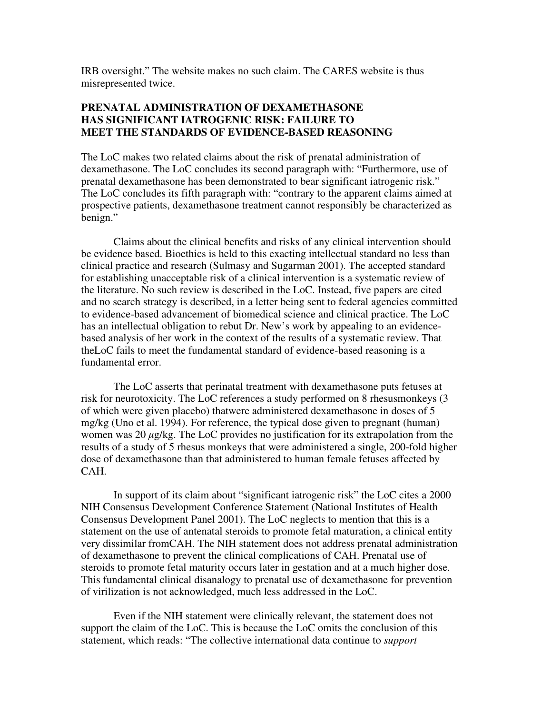IRB oversight." The website makes no such claim. The CARES website is thus misrepresented twice.

# **PRENATAL ADMINISTRATION OF DEXAMETHASONE HAS SIGNIFICANT IATROGENIC RISK: FAILURE TO MEET THE STANDARDS OF EVIDENCE-BASED REASONING**

The LoC makes two related claims about the risk of prenatal administration of dexamethasone. The LoC concludes its second paragraph with: "Furthermore, use of prenatal dexamethasone has been demonstrated to bear significant iatrogenic risk." The LoC concludes its fifth paragraph with: "contrary to the apparent claims aimed at prospective patients, dexamethasone treatment cannot responsibly be characterized as benign."

Claims about the clinical benefits and risks of any clinical intervention should be evidence based. Bioethics is held to this exacting intellectual standard no less than clinical practice and research (Sulmasy and Sugarman 2001). The accepted standard for establishing unacceptable risk of a clinical intervention is a systematic review of the literature. No such review is described in the LoC. Instead, five papers are cited and no search strategy is described, in a letter being sent to federal agencies committed to evidence-based advancement of biomedical science and clinical practice. The LoC has an intellectual obligation to rebut Dr. New's work by appealing to an evidencebased analysis of her work in the context of the results of a systematic review. That theLoC fails to meet the fundamental standard of evidence-based reasoning is a fundamental error.

The LoC asserts that perinatal treatment with dexamethasone puts fetuses at risk for neurotoxicity. The LoC references a study performed on 8 rhesusmonkeys (3 of which were given placebo) thatwere administered dexamethasone in doses of 5 mg/kg (Uno et al. 1994). For reference, the typical dose given to pregnant (human) women was 20 *µ*g/kg. The LoC provides no justification for its extrapolation from the results of a study of 5 rhesus monkeys that were administered a single, 200-fold higher dose of dexamethasone than that administered to human female fetuses affected by CAH.

In support of its claim about "significant iatrogenic risk" the LoC cites a 2000 NIH Consensus Development Conference Statement (National Institutes of Health Consensus Development Panel 2001). The LoC neglects to mention that this is a statement on the use of antenatal steroids to promote fetal maturation, a clinical entity very dissimilar fromCAH. The NIH statement does not address prenatal administration of dexamethasone to prevent the clinical complications of CAH. Prenatal use of steroids to promote fetal maturity occurs later in gestation and at a much higher dose. This fundamental clinical disanalogy to prenatal use of dexamethasone for prevention of virilization is not acknowledged, much less addressed in the LoC.

Even if the NIH statement were clinically relevant, the statement does not support the claim of the LoC. This is because the LoC omits the conclusion of this statement, which reads: "The collective international data continue to *support*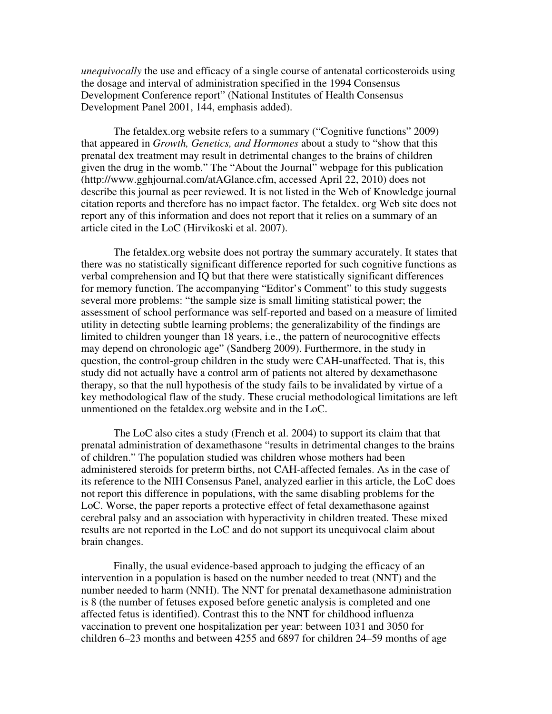*unequivocally* the use and efficacy of a single course of antenatal corticosteroids using the dosage and interval of administration specified in the 1994 Consensus Development Conference report" (National Institutes of Health Consensus Development Panel 2001, 144, emphasis added).

The fetaldex.org website refers to a summary ("Cognitive functions" 2009) that appeared in *Growth, Genetics, and Hormones* about a study to "show that this prenatal dex treatment may result in detrimental changes to the brains of children given the drug in the womb." The "About the Journal" webpage for this publication (http://www.gghjournal.com/atAGlance.cfm, accessed April 22, 2010) does not describe this journal as peer reviewed. It is not listed in the Web of Knowledge journal citation reports and therefore has no impact factor. The fetaldex. org Web site does not report any of this information and does not report that it relies on a summary of an article cited in the LoC (Hirvikoski et al. 2007).

The fetaldex.org website does not portray the summary accurately. It states that there was no statistically significant difference reported for such cognitive functions as verbal comprehension and IQ but that there were statistically significant differences for memory function. The accompanying "Editor's Comment" to this study suggests several more problems: "the sample size is small limiting statistical power; the assessment of school performance was self-reported and based on a measure of limited utility in detecting subtle learning problems; the generalizability of the findings are limited to children younger than 18 years, i.e., the pattern of neurocognitive effects may depend on chronologic age" (Sandberg 2009). Furthermore, in the study in question, the control-group children in the study were CAH-unaffected. That is, this study did not actually have a control arm of patients not altered by dexamethasone therapy, so that the null hypothesis of the study fails to be invalidated by virtue of a key methodological flaw of the study. These crucial methodological limitations are left unmentioned on the fetaldex.org website and in the LoC.

The LoC also cites a study (French et al. 2004) to support its claim that that prenatal administration of dexamethasone "results in detrimental changes to the brains of children." The population studied was children whose mothers had been administered steroids for preterm births, not CAH-affected females. As in the case of its reference to the NIH Consensus Panel, analyzed earlier in this article, the LoC does not report this difference in populations, with the same disabling problems for the LoC. Worse, the paper reports a protective effect of fetal dexamethasone against cerebral palsy and an association with hyperactivity in children treated. These mixed results are not reported in the LoC and do not support its unequivocal claim about brain changes.

Finally, the usual evidence-based approach to judging the efficacy of an intervention in a population is based on the number needed to treat (NNT) and the number needed to harm (NNH). The NNT for prenatal dexamethasone administration is 8 (the number of fetuses exposed before genetic analysis is completed and one affected fetus is identified). Contrast this to the NNT for childhood influenza vaccination to prevent one hospitalization per year: between 1031 and 3050 for children 6–23 months and between 4255 and 6897 for children 24–59 months of age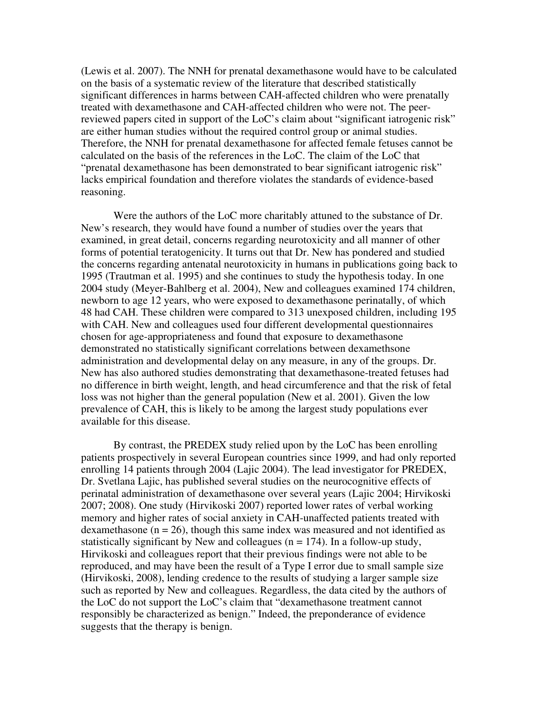(Lewis et al. 2007). The NNH for prenatal dexamethasone would have to be calculated on the basis of a systematic review of the literature that described statistically significant differences in harms between CAH-affected children who were prenatally treated with dexamethasone and CAH-affected children who were not. The peerreviewed papers cited in support of the LoC's claim about "significant iatrogenic risk" are either human studies without the required control group or animal studies. Therefore, the NNH for prenatal dexamethasone for affected female fetuses cannot be calculated on the basis of the references in the LoC. The claim of the LoC that "prenatal dexamethasone has been demonstrated to bear significant iatrogenic risk" lacks empirical foundation and therefore violates the standards of evidence-based reasoning.

Were the authors of the LoC more charitably attuned to the substance of Dr. New's research, they would have found a number of studies over the years that examined, in great detail, concerns regarding neurotoxicity and all manner of other forms of potential teratogenicity. It turns out that Dr. New has pondered and studied the concerns regarding antenatal neurotoxicity in humans in publications going back to 1995 (Trautman et al. 1995) and she continues to study the hypothesis today. In one 2004 study (Meyer-Bahlberg et al. 2004), New and colleagues examined 174 children, newborn to age 12 years, who were exposed to dexamethasone perinatally, of which 48 had CAH. These children were compared to 313 unexposed children, including 195 with CAH. New and colleagues used four different developmental questionnaires chosen for age-appropriateness and found that exposure to dexamethasone demonstrated no statistically significant correlations between dexamethsone administration and developmental delay on any measure, in any of the groups. Dr. New has also authored studies demonstrating that dexamethasone-treated fetuses had no difference in birth weight, length, and head circumference and that the risk of fetal loss was not higher than the general population (New et al. 2001). Given the low prevalence of CAH, this is likely to be among the largest study populations ever available for this disease.

By contrast, the PREDEX study relied upon by the LoC has been enrolling patients prospectively in several European countries since 1999, and had only reported enrolling 14 patients through 2004 (Lajic 2004). The lead investigator for PREDEX, Dr. Svetlana Lajic, has published several studies on the neurocognitive effects of perinatal administration of dexamethasone over several years (Lajic 2004; Hirvikoski 2007; 2008). One study (Hirvikoski 2007) reported lower rates of verbal working memory and higher rates of social anxiety in CAH-unaffected patients treated with dexamethasone ( $n = 26$ ), though this same index was measured and not identified as statistically significant by New and colleagues  $(n = 174)$ . In a follow-up study, Hirvikoski and colleagues report that their previous findings were not able to be reproduced, and may have been the result of a Type I error due to small sample size (Hirvikoski, 2008), lending credence to the results of studying a larger sample size such as reported by New and colleagues. Regardless, the data cited by the authors of the LoC do not support the LoC's claim that "dexamethasone treatment cannot responsibly be characterized as benign." Indeed, the preponderance of evidence suggests that the therapy is benign.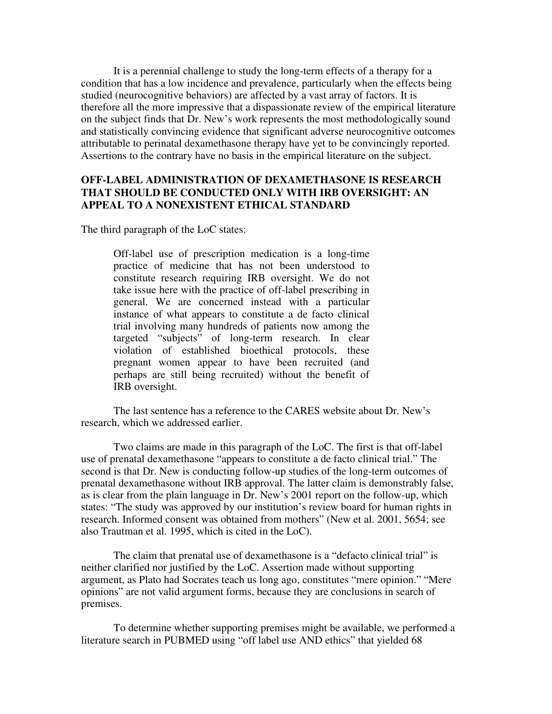It is a perennial challenge to study the long-term effects of a therapy for a condition that has a low incidence and prevalence, particularly when the effects being studied (neurocognitive behaviors) are affected by a vast array of factors. It is therefore all the more impressive that a dispassionate review of the empirical literature on the subject finds that Dr. New's work represents the most methodologically sound and statistically convincing evidence that significant adverse neurocognitive outcomes attributable to perinatal dexamethasone therapy have yet to be convincingly reported. Assertions to the contrary have no basis in the empirical literature on the subject.

# **OFF-LABEL ADMINISTRATION OF DEXAMETHASONE IS RESEARCH THAT SHOULD BE CONDUCTED ONLY WITH IRB OVERSIGHT: AN APPEAL TO A NONEXISTENT ETHICAL STANDARD**

The third paragraph of the LoC states:

Off-label use of prescription medication is a long-time practice of medicine that has not been understood to constitute research requiring IRB oversight. We do not take issue here with the practice of off-label prescribing in general. We are concerned instead with a particular instance of what appears to constitute a de facto clinical trial involving many hundreds of patients now among the targeted "subjects" of long-term research. In clear violation of established bioethical protocols, these pregnant women appear to have been recruited (and perhaps are still being recruited) without the benefit of IRB oversight.

The last sentence has a reference to the CARES website about Dr. New's research, which we addressed earlier.

Two claims are made in this paragraph of the LoC. The first is that off-label use of prenatal dexamethasone "appears to constitute a de facto clinical trial." The second is that Dr. New is conducting follow-up studies of the long-term outcomes of prenatal dexamethasone without IRB approval. The latter claim is demonstrably false, as is clear from the plain language in Dr. New's 2001 report on the follow-up, which states: "The study was approved by our institution's review board for human rights in research. Informed consent was obtained from mothers" (New et al. 2001, 5654; see also Trautman et al. 1995, which is cited in the LoC).

The claim that prenatal use of dexamethasone is a "defacto clinical trial" is neither clarified nor justified by the LoC. Assertion made without supporting argument, as Plato had Socrates teach us long ago, constitutes "mere opinion." "Mere opinions" are not valid argument forms, because they are conclusions in search of premises.

To determine whether supporting premises might be available, we performed a literature search in PUBMED using "off label use AND ethics" that yielded 68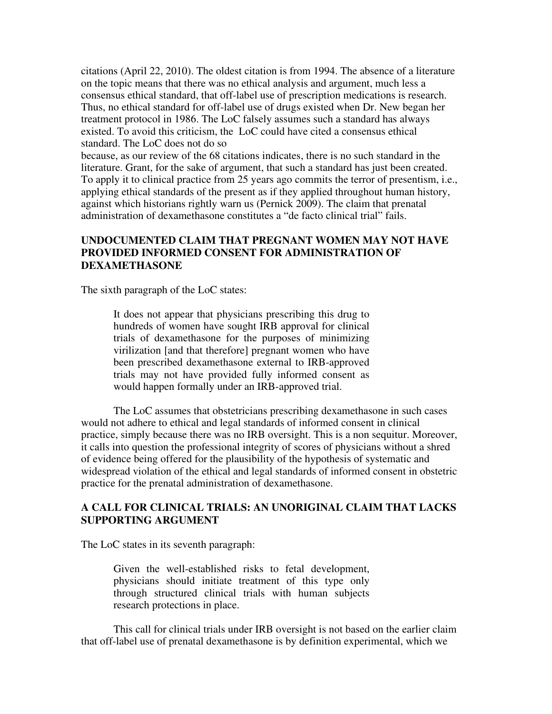citations (April 22, 2010). The oldest citation is from 1994. The absence of a literature on the topic means that there was no ethical analysis and argument, much less a consensus ethical standard, that off-label use of prescription medications is research. Thus, no ethical standard for off-label use of drugs existed when Dr. New began her treatment protocol in 1986. The LoC falsely assumes such a standard has always existed. To avoid this criticism, the LoC could have cited a consensus ethical standard. The LoC does not do so

because, as our review of the 68 citations indicates, there is no such standard in the literature. Grant, for the sake of argument, that such a standard has just been created. To apply it to clinical practice from 25 years ago commits the terror of presentism, i.e., applying ethical standards of the present as if they applied throughout human history, against which historians rightly warn us (Pernick 2009). The claim that prenatal administration of dexamethasone constitutes a "de facto clinical trial" fails.

# **UNDOCUMENTED CLAIM THAT PREGNANT WOMEN MAY NOT HAVE PROVIDED INFORMED CONSENT FOR ADMINISTRATION OF DEXAMETHASONE**

The sixth paragraph of the LoC states:

It does not appear that physicians prescribing this drug to hundreds of women have sought IRB approval for clinical trials of dexamethasone for the purposes of minimizing virilization [and that therefore] pregnant women who have been prescribed dexamethasone external to IRB-approved trials may not have provided fully informed consent as would happen formally under an IRB-approved trial.

The LoC assumes that obstetricians prescribing dexamethasone in such cases would not adhere to ethical and legal standards of informed consent in clinical practice, simply because there was no IRB oversight. This is a non sequitur. Moreover, it calls into question the professional integrity of scores of physicians without a shred of evidence being offered for the plausibility of the hypothesis of systematic and widespread violation of the ethical and legal standards of informed consent in obstetric practice for the prenatal administration of dexamethasone.

# **A CALL FOR CLINICAL TRIALS: AN UNORIGINAL CLAIM THAT LACKS SUPPORTING ARGUMENT**

The LoC states in its seventh paragraph:

Given the well-established risks to fetal development, physicians should initiate treatment of this type only through structured clinical trials with human subjects research protections in place.

This call for clinical trials under IRB oversight is not based on the earlier claim that off-label use of prenatal dexamethasone is by definition experimental, which we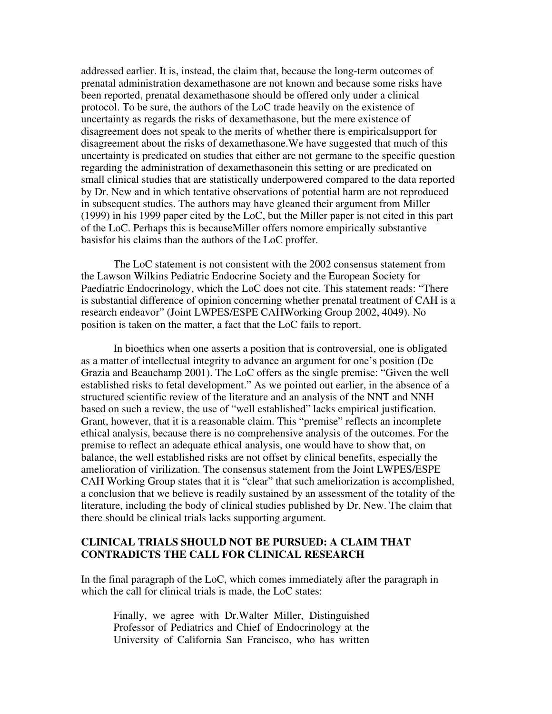addressed earlier. It is, instead, the claim that, because the long-term outcomes of prenatal administration dexamethasone are not known and because some risks have been reported, prenatal dexamethasone should be offered only under a clinical protocol. To be sure, the authors of the LoC trade heavily on the existence of uncertainty as regards the risks of dexamethasone, but the mere existence of disagreement does not speak to the merits of whether there is empiricalsupport for disagreement about the risks of dexamethasone.We have suggested that much of this uncertainty is predicated on studies that either are not germane to the specific question regarding the administration of dexamethasonein this setting or are predicated on small clinical studies that are statistically underpowered compared to the data reported by Dr. New and in which tentative observations of potential harm are not reproduced in subsequent studies. The authors may have gleaned their argument from Miller (1999) in his 1999 paper cited by the LoC, but the Miller paper is not cited in this part of the LoC. Perhaps this is becauseMiller offers nomore empirically substantive basisfor his claims than the authors of the LoC proffer.

The LoC statement is not consistent with the 2002 consensus statement from the Lawson Wilkins Pediatric Endocrine Society and the European Society for Paediatric Endocrinology, which the LoC does not cite. This statement reads: "There is substantial difference of opinion concerning whether prenatal treatment of CAH is a research endeavor" (Joint LWPES/ESPE CAHWorking Group 2002, 4049). No position is taken on the matter, a fact that the LoC fails to report.

In bioethics when one asserts a position that is controversial, one is obligated as a matter of intellectual integrity to advance an argument for one's position (De Grazia and Beauchamp 2001). The LoC offers as the single premise: "Given the well established risks to fetal development." As we pointed out earlier, in the absence of a structured scientific review of the literature and an analysis of the NNT and NNH based on such a review, the use of "well established" lacks empirical justification. Grant, however, that it is a reasonable claim. This "premise" reflects an incomplete ethical analysis, because there is no comprehensive analysis of the outcomes. For the premise to reflect an adequate ethical analysis, one would have to show that, on balance, the well established risks are not offset by clinical benefits, especially the amelioration of virilization. The consensus statement from the Joint LWPES/ESPE CAH Working Group states that it is "clear" that such ameliorization is accomplished, a conclusion that we believe is readily sustained by an assessment of the totality of the literature, including the body of clinical studies published by Dr. New. The claim that there should be clinical trials lacks supporting argument.

# **CLINICAL TRIALS SHOULD NOT BE PURSUED: A CLAIM THAT CONTRADICTS THE CALL FOR CLINICAL RESEARCH**

In the final paragraph of the LoC, which comes immediately after the paragraph in which the call for clinical trials is made, the LoC states:

Finally, we agree with Dr.Walter Miller, Distinguished Professor of Pediatrics and Chief of Endocrinology at the University of California San Francisco, who has written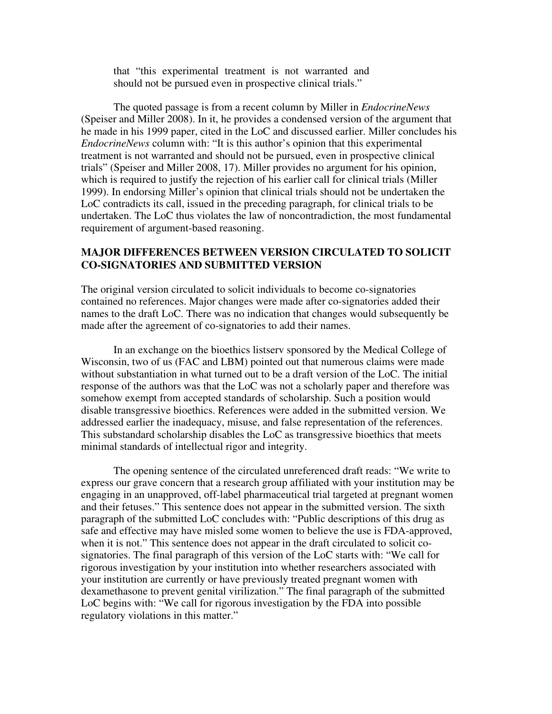that "this experimental treatment is not warranted and should not be pursued even in prospective clinical trials."

The quoted passage is from a recent column by Miller in *EndocrineNews*  (Speiser and Miller 2008). In it, he provides a condensed version of the argument that he made in his 1999 paper, cited in the LoC and discussed earlier. Miller concludes his *EndocrineNews* column with: "It is this author's opinion that this experimental treatment is not warranted and should not be pursued, even in prospective clinical trials" (Speiser and Miller 2008, 17). Miller provides no argument for his opinion, which is required to justify the rejection of his earlier call for clinical trials (Miller 1999). In endorsing Miller's opinion that clinical trials should not be undertaken the LoC contradicts its call, issued in the preceding paragraph, for clinical trials to be undertaken. The LoC thus violates the law of noncontradiction, the most fundamental requirement of argument-based reasoning.

# **MAJOR DIFFERENCES BETWEEN VERSION CIRCULATED TO SOLICIT CO-SIGNATORIES AND SUBMITTED VERSION**

The original version circulated to solicit individuals to become co-signatories contained no references. Major changes were made after co-signatories added their names to the draft LoC. There was no indication that changes would subsequently be made after the agreement of co-signatories to add their names.

In an exchange on the bioethics listserv sponsored by the Medical College of Wisconsin, two of us (FAC and LBM) pointed out that numerous claims were made without substantiation in what turned out to be a draft version of the LoC. The initial response of the authors was that the LoC was not a scholarly paper and therefore was somehow exempt from accepted standards of scholarship. Such a position would disable transgressive bioethics. References were added in the submitted version. We addressed earlier the inadequacy, misuse, and false representation of the references. This substandard scholarship disables the LoC as transgressive bioethics that meets minimal standards of intellectual rigor and integrity.

The opening sentence of the circulated unreferenced draft reads: "We write to express our grave concern that a research group affiliated with your institution may be engaging in an unapproved, off-label pharmaceutical trial targeted at pregnant women and their fetuses." This sentence does not appear in the submitted version. The sixth paragraph of the submitted LoC concludes with: "Public descriptions of this drug as safe and effective may have misled some women to believe the use is FDA-approved, when it is not." This sentence does not appear in the draft circulated to solicit cosignatories. The final paragraph of this version of the LoC starts with: "We call for rigorous investigation by your institution into whether researchers associated with your institution are currently or have previously treated pregnant women with dexamethasone to prevent genital virilization." The final paragraph of the submitted LoC begins with: "We call for rigorous investigation by the FDA into possible regulatory violations in this matter."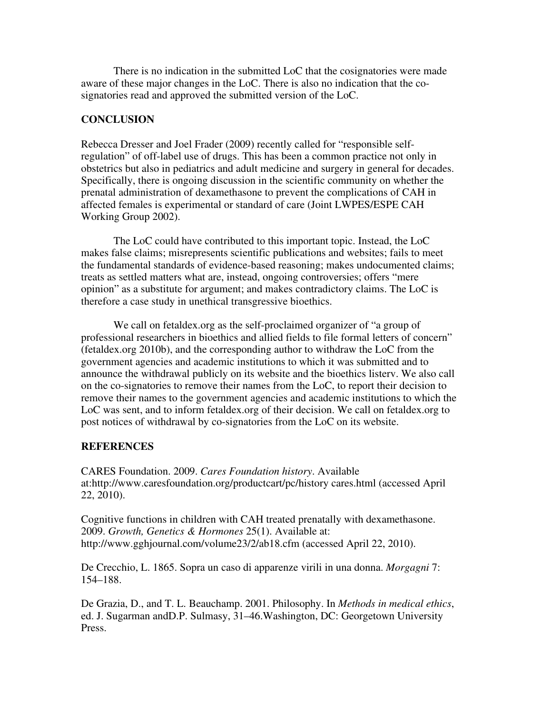There is no indication in the submitted LoC that the cosignatories were made aware of these major changes in the LoC. There is also no indication that the cosignatories read and approved the submitted version of the LoC.

# **CONCLUSION**

Rebecca Dresser and Joel Frader (2009) recently called for "responsible selfregulation" of off-label use of drugs. This has been a common practice not only in obstetrics but also in pediatrics and adult medicine and surgery in general for decades. Specifically, there is ongoing discussion in the scientific community on whether the prenatal administration of dexamethasone to prevent the complications of CAH in affected females is experimental or standard of care (Joint LWPES/ESPE CAH Working Group 2002).

The LoC could have contributed to this important topic. Instead, the LoC makes false claims; misrepresents scientific publications and websites; fails to meet the fundamental standards of evidence-based reasoning; makes undocumented claims; treats as settled matters what are, instead, ongoing controversies; offers "mere opinion" as a substitute for argument; and makes contradictory claims. The LoC is therefore a case study in unethical transgressive bioethics.

We call on fetaldex.org as the self-proclaimed organizer of "a group of professional researchers in bioethics and allied fields to file formal letters of concern" (fetaldex.org 2010b), and the corresponding author to withdraw the LoC from the government agencies and academic institutions to which it was submitted and to announce the withdrawal publicly on its website and the bioethics listerv. We also call on the co-signatories to remove their names from the LoC, to report their decision to remove their names to the government agencies and academic institutions to which the LoC was sent, and to inform fetaldex.org of their decision. We call on fetaldex.org to post notices of withdrawal by co-signatories from the LoC on its website.

# **REFERENCES**

CARES Foundation. 2009. *Cares Foundation history*. Available at:http://www.caresfoundation.org/productcart/pc/history cares.html (accessed April 22, 2010).

Cognitive functions in children with CAH treated prenatally with dexamethasone. 2009. *Growth, Genetics & Hormones* 25(1). Available at: http://www.gghjournal.com/volume23/2/ab18.cfm (accessed April 22, 2010).

De Crecchio, L. 1865. Sopra un caso di apparenze virili in una donna. *Morgagni* 7: 154–188.

De Grazia, D., and T. L. Beauchamp. 2001. Philosophy. In *Methods in medical ethics*, ed. J. Sugarman andD.P. Sulmasy, 31–46.Washington, DC: Georgetown University Press.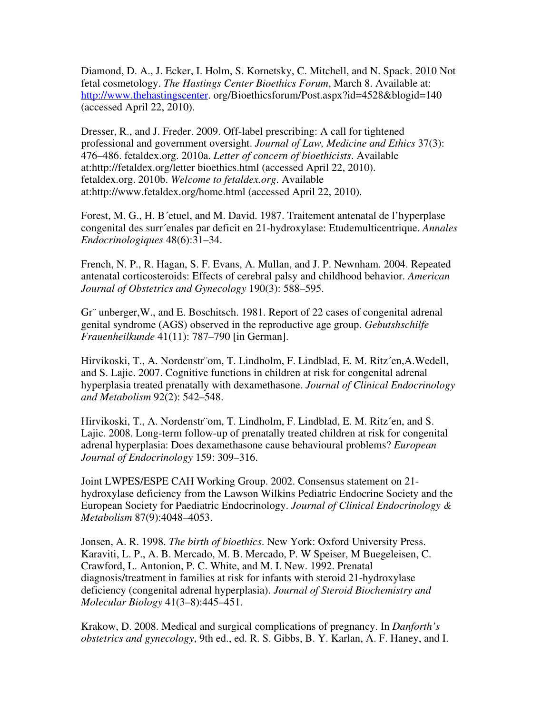Diamond, D. A., J. Ecker, I. Holm, S. Kornetsky, C. Mitchell, and N. Spack. 2010 Not fetal cosmetology. *The Hastings Center Bioethics Forum*, March 8. Available at: http://www.thehastingscenter. org/Bioethicsforum/Post.aspx?id=4528&blogid=140 (accessed April 22, 2010).

Dresser, R., and J. Freder. 2009. Off-label prescribing: A call for tightened professional and government oversight. *Journal of Law, Medicine and Ethics* 37(3): 476–486. fetaldex.org. 2010a. *Letter of concern of bioethicists*. Available at:http://fetaldex.org/letter bioethics.html (accessed April 22, 2010). fetaldex.org. 2010b. *Welcome to fetaldex.org*. Available at:http://www.fetaldex.org/home.html (accessed April 22, 2010).

Forest, M. G., H. B´etuel, and M. David. 1987. Traitement antenatal de l'hyperplase congenital des surr´enales par deficit en 21-hydroxylase: Etudemulticentrique. *Annales Endocrinologiques* 48(6):31–34.

French, N. P., R. Hagan, S. F. Evans, A. Mullan, and J. P. Newnham. 2004. Repeated antenatal corticosteroids: Effects of cerebral palsy and childhood behavior. *American Journal of Obstetrics and Gynecology* 190(3): 588–595.

Gr¨ unberger,W., and E. Boschitsch. 1981. Report of 22 cases of congenital adrenal genital syndrome (AGS) observed in the reproductive age group. *Gebutshschilfe Frauenheilkunde* 41(11): 787–790 [in German].

Hirvikoski, T., A. Nordenstr¨om, T. Lindholm, F. Lindblad, E. M. Ritz´en,A.Wedell, and S. Lajic. 2007. Cognitive functions in children at risk for congenital adrenal hyperplasia treated prenatally with dexamethasone. *Journal of Clinical Endocrinology and Metabolism* 92(2): 542–548.

Hirvikoski, T., A. Nordenstr<sup>om, T.</sup> Lindholm, F. Lindblad, E. M. Ritz´en, and S. Lajic. 2008. Long-term follow-up of prenatally treated children at risk for congenital adrenal hyperplasia: Does dexamethasone cause behavioural problems? *European Journal of Endocrinology* 159: 309–316.

Joint LWPES/ESPE CAH Working Group. 2002. Consensus statement on 21 hydroxylase deficiency from the Lawson Wilkins Pediatric Endocrine Society and the European Society for Paediatric Endocrinology. *Journal of Clinical Endocrinology & Metabolism* 87(9):4048–4053.

Jonsen, A. R. 1998. *The birth of bioethics*. New York: Oxford University Press. Karaviti, L. P., A. B. Mercado, M. B. Mercado, P. W Speiser, M Buegeleisen, C. Crawford, L. Antonion, P. C. White, and M. I. New. 1992. Prenatal diagnosis/treatment in families at risk for infants with steroid 21-hydroxylase deficiency (congenital adrenal hyperplasia). *Journal of Steroid Biochemistry and Molecular Biology* 41(3–8):445–451.

Krakow, D. 2008. Medical and surgical complications of pregnancy. In *Danforth's obstetrics and gynecology*, 9th ed., ed. R. S. Gibbs, B. Y. Karlan, A. F. Haney, and I.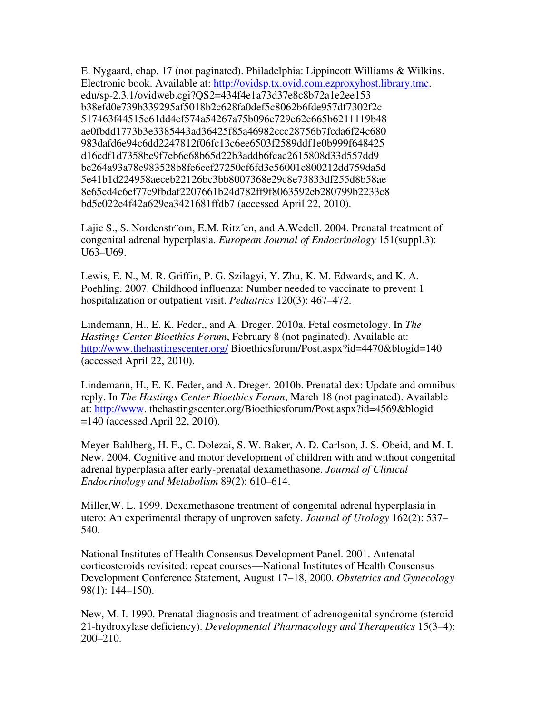E. Nygaard, chap. 17 (not paginated). Philadelphia: Lippincott Williams & Wilkins. Electronic book. Available at: http://ovidsp.tx.ovid.com.ezproxyhost.library.tmc. edu/sp-2.3.1/ovidweb.cgi?QS2=434f4e1a73d37e8c8b72a1e2ee153 b38efd0e739b339295af5018b2c628fa0def5c8062b6fde957df7302f2c 517463f44515e61dd4ef574a54267a75b096c729e62e665b6211119b48 ae0fbdd1773b3e3385443ad36425f85a46982ccc28756b7fcda6f24c680 983dafd6e94c6dd2247812f06fc13c6ee6503f2589ddf1e0b999f648425 d16cdf1d7358be9f7eb6e68b65d22b3addb6fcac2615808d33d557dd9 bc264a93a78e983528b8fe6eef27250cf6fd3e56001c800212dd759da5d 5e41b1d224958aeceb22126bc3bb8007368e29c8e73833df255d8b58ae 8e65cd4c6ef77c9fbdaf2207661b24d782ff9f8063592eb280799b2233c8 bd5e022e4f42a629ea3421681ffdb7 (accessed April 22, 2010).

Lajic S., S. Nordenstr¨om, E.M. Ritz´en, and A.Wedell. 2004. Prenatal treatment of congenital adrenal hyperplasia. *European Journal of Endocrinology* 151(suppl.3): U63–U69.

Lewis, E. N., M. R. Griffin, P. G. Szilagyi, Y. Zhu, K. M. Edwards, and K. A. Poehling. 2007. Childhood influenza: Number needed to vaccinate to prevent 1 hospitalization or outpatient visit. *Pediatrics* 120(3): 467–472.

Lindemann, H., E. K. Feder,, and A. Dreger. 2010a. Fetal cosmetology. In *The Hastings Center Bioethics Forum*, February 8 (not paginated). Available at: http://www.thehastingscenter.org/ Bioethicsforum/Post.aspx?id=4470&blogid=140 (accessed April 22, 2010).

Lindemann, H., E. K. Feder, and A. Dreger. 2010b. Prenatal dex: Update and omnibus reply. In *The Hastings Center Bioethics Forum*, March 18 (not paginated). Available at: http://www. thehastingscenter.org/Bioethicsforum/Post.aspx?id=4569&blogid =140 (accessed April 22, 2010).

Meyer-Bahlberg, H. F., C. Dolezai, S. W. Baker, A. D. Carlson, J. S. Obeid, and M. I. New. 2004. Cognitive and motor development of children with and without congenital adrenal hyperplasia after early-prenatal dexamethasone. *Journal of Clinical Endocrinology and Metabolism* 89(2): 610–614.

Miller,W. L. 1999. Dexamethasone treatment of congenital adrenal hyperplasia in utero: An experimental therapy of unproven safety. *Journal of Urology* 162(2): 537– 540.

National Institutes of Health Consensus Development Panel. 2001. Antenatal corticosteroids revisited: repeat courses—National Institutes of Health Consensus Development Conference Statement, August 17–18, 2000. *Obstetrics and Gynecology*  98(1): 144–150).

New, M. I. 1990. Prenatal diagnosis and treatment of adrenogenital syndrome (steroid 21-hydroxylase deficiency). *Developmental Pharmacology and Therapeutics* 15(3–4): 200–210.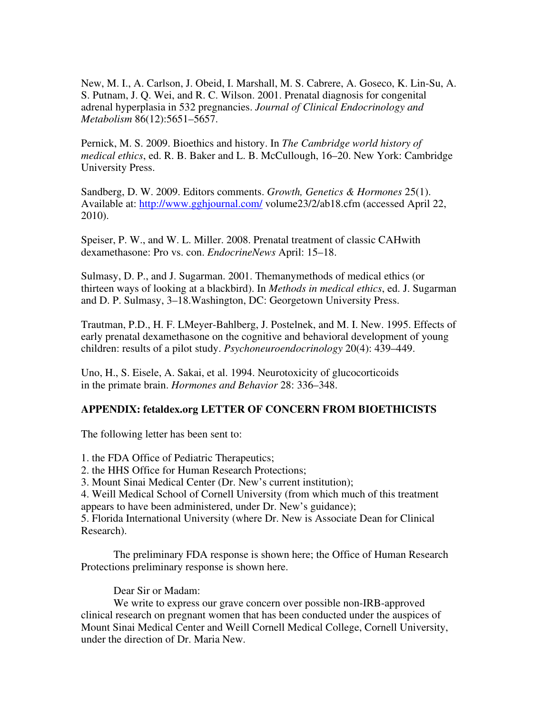New, M. I., A. Carlson, J. Obeid, I. Marshall, M. S. Cabrere, A. Goseco, K. Lin-Su, A. S. Putnam, J. Q. Wei, and R. C. Wilson. 2001. Prenatal diagnosis for congenital adrenal hyperplasia in 532 pregnancies. *Journal of Clinical Endocrinology and Metabolism* 86(12):5651–5657.

Pernick, M. S. 2009. Bioethics and history. In *The Cambridge world history of medical ethics*, ed. R. B. Baker and L. B. McCullough, 16–20. New York: Cambridge University Press.

Sandberg, D. W. 2009. Editors comments. *Growth, Genetics & Hormones* 25(1). Available at: http://www.gghjournal.com/ volume23/2/ab18.cfm (accessed April 22, 2010).

Speiser, P. W., and W. L. Miller. 2008. Prenatal treatment of classic CAHwith dexamethasone: Pro vs. con. *EndocrineNews* April: 15–18.

Sulmasy, D. P., and J. Sugarman. 2001. Themanymethods of medical ethics (or thirteen ways of looking at a blackbird). In *Methods in medical ethics*, ed. J. Sugarman and D. P. Sulmasy, 3–18.Washington, DC: Georgetown University Press.

Trautman, P.D., H. F. LMeyer-Bahlberg, J. Postelnek, and M. I. New. 1995. Effects of early prenatal dexamethasone on the cognitive and behavioral development of young children: results of a pilot study. *Psychoneuroendocrinology* 20(4): 439–449.

Uno, H., S. Eisele, A. Sakai, et al. 1994. Neurotoxicity of glucocorticoids in the primate brain. *Hormones and Behavior* 28: 336–348.

# **APPENDIX: fetaldex.org LETTER OF CONCERN FROM BIOETHICISTS**

The following letter has been sent to:

1. the FDA Office of Pediatric Therapeutics;

2. the HHS Office for Human Research Protections;

3. Mount Sinai Medical Center (Dr. New's current institution);

4. Weill Medical School of Cornell University (from which much of this treatment appears to have been administered, under Dr. New's guidance);

5. Florida International University (where Dr. New is Associate Dean for Clinical Research).

The preliminary FDA response is shown here; the Office of Human Research Protections preliminary response is shown here.

Dear Sir or Madam:

We write to express our grave concern over possible non-IRB-approved clinical research on pregnant women that has been conducted under the auspices of Mount Sinai Medical Center and Weill Cornell Medical College, Cornell University, under the direction of Dr. Maria New.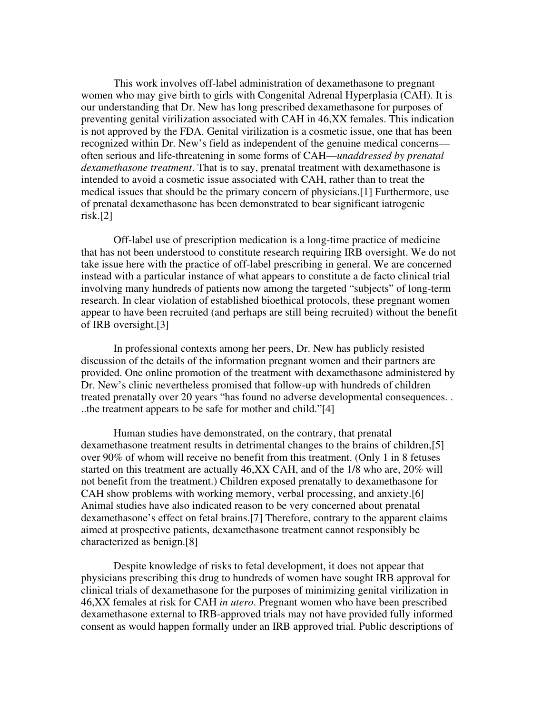This work involves off-label administration of dexamethasone to pregnant women who may give birth to girls with Congenital Adrenal Hyperplasia (CAH). It is our understanding that Dr. New has long prescribed dexamethasone for purposes of preventing genital virilization associated with CAH in 46,XX females. This indication is not approved by the FDA. Genital virilization is a cosmetic issue, one that has been recognized within Dr. New's field as independent of the genuine medical concerns often serious and life-threatening in some forms of CAH—*unaddressed by prenatal dexamethasone treatment*. That is to say, prenatal treatment with dexamethasone is intended to avoid a cosmetic issue associated with CAH, rather than to treat the medical issues that should be the primary concern of physicians.[1] Furthermore, use of prenatal dexamethasone has been demonstrated to bear significant iatrogenic risk.[2]

Off-label use of prescription medication is a long-time practice of medicine that has not been understood to constitute research requiring IRB oversight. We do not take issue here with the practice of off-label prescribing in general. We are concerned instead with a particular instance of what appears to constitute a de facto clinical trial involving many hundreds of patients now among the targeted "subjects" of long-term research. In clear violation of established bioethical protocols, these pregnant women appear to have been recruited (and perhaps are still being recruited) without the benefit of IRB oversight.[3]

In professional contexts among her peers, Dr. New has publicly resisted discussion of the details of the information pregnant women and their partners are provided. One online promotion of the treatment with dexamethasone administered by Dr. New's clinic nevertheless promised that follow-up with hundreds of children treated prenatally over 20 years "has found no adverse developmental consequences. . ..the treatment appears to be safe for mother and child."[4]

Human studies have demonstrated, on the contrary, that prenatal dexamethasone treatment results in detrimental changes to the brains of children,[5] over 90% of whom will receive no benefit from this treatment. (Only 1 in 8 fetuses started on this treatment are actually 46,XX CAH, and of the 1/8 who are, 20% will not benefit from the treatment.) Children exposed prenatally to dexamethasone for CAH show problems with working memory, verbal processing, and anxiety.[6] Animal studies have also indicated reason to be very concerned about prenatal dexamethasone's effect on fetal brains.[7] Therefore, contrary to the apparent claims aimed at prospective patients, dexamethasone treatment cannot responsibly be characterized as benign.[8]

Despite knowledge of risks to fetal development, it does not appear that physicians prescribing this drug to hundreds of women have sought IRB approval for clinical trials of dexamethasone for the purposes of minimizing genital virilization in 46,XX females at risk for CAH *in utero*. Pregnant women who have been prescribed dexamethasone external to IRB-approved trials may not have provided fully informed consent as would happen formally under an IRB approved trial. Public descriptions of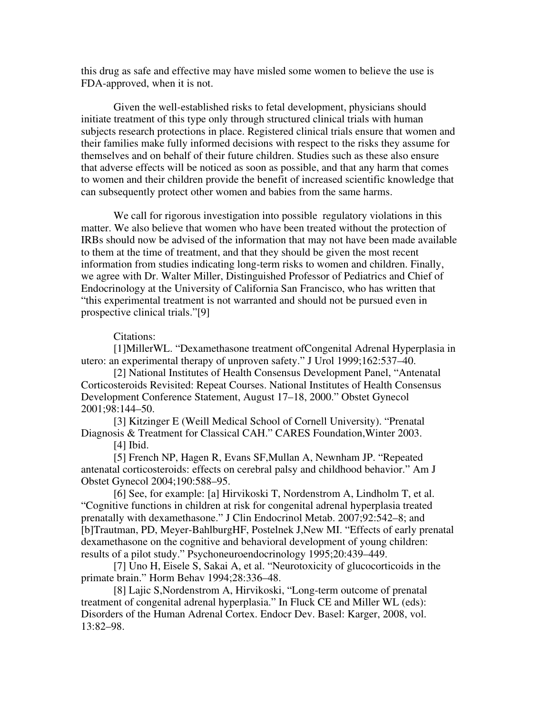this drug as safe and effective may have misled some women to believe the use is FDA-approved, when it is not.

Given the well-established risks to fetal development, physicians should initiate treatment of this type only through structured clinical trials with human subjects research protections in place. Registered clinical trials ensure that women and their families make fully informed decisions with respect to the risks they assume for themselves and on behalf of their future children. Studies such as these also ensure that adverse effects will be noticed as soon as possible, and that any harm that comes to women and their children provide the benefit of increased scientific knowledge that can subsequently protect other women and babies from the same harms.

We call for rigorous investigation into possible regulatory violations in this matter. We also believe that women who have been treated without the protection of IRBs should now be advised of the information that may not have been made available to them at the time of treatment, and that they should be given the most recent information from studies indicating long-term risks to women and children. Finally, we agree with Dr. Walter Miller, Distinguished Professor of Pediatrics and Chief of Endocrinology at the University of California San Francisco, who has written that "this experimental treatment is not warranted and should not be pursued even in prospective clinical trials."[9]

## Citations:

[1]MillerWL. "Dexamethasone treatment ofCongenital Adrenal Hyperplasia in utero: an experimental therapy of unproven safety." J Urol 1999;162:537–40.

[2] National Institutes of Health Consensus Development Panel, "Antenatal Corticosteroids Revisited: Repeat Courses. National Institutes of Health Consensus Development Conference Statement, August 17–18, 2000." Obstet Gynecol 2001;98:144–50.

[3] Kitzinger E (Weill Medical School of Cornell University). "Prenatal Diagnosis & Treatment for Classical CAH." CARES Foundation,Winter 2003.

[4] Ibid.

[5] French NP, Hagen R, Evans SF,Mullan A, Newnham JP. "Repeated antenatal corticosteroids: effects on cerebral palsy and childhood behavior." Am J Obstet Gynecol 2004;190:588–95.

[6] See, for example: [a] Hirvikoski T, Nordenstrom A, Lindholm T, et al. "Cognitive functions in children at risk for congenital adrenal hyperplasia treated prenatally with dexamethasone." J Clin Endocrinol Metab. 2007;92:542–8; and [b]Trautman, PD, Meyer-BahlburgHF, Postelnek J,New MI. "Effects of early prenatal dexamethasone on the cognitive and behavioral development of young children: results of a pilot study." Psychoneuroendocrinology 1995;20:439–449.

[7] Uno H, Eisele S, Sakai A, et al. "Neurotoxicity of glucocorticoids in the primate brain." Horm Behav 1994;28:336–48.

[8] Lajic S,Nordenstrom A, Hirvikoski, "Long-term outcome of prenatal treatment of congenital adrenal hyperplasia." In Fluck CE and Miller WL (eds): Disorders of the Human Adrenal Cortex. Endocr Dev. Basel: Karger, 2008, vol. 13:82–98.